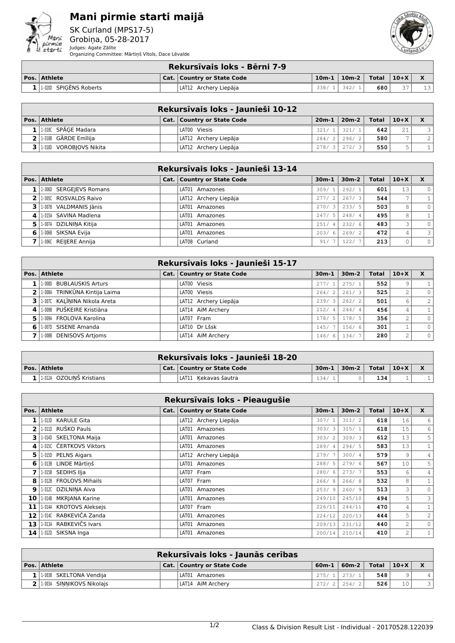

## **Mani pirmie starti maijā**

SK Curland (MPS17-5) Grobiņa, 05-28-2017 Judges: Agate Zālīte Organizing Committee: Mārtiņš Vītols, Dace Lēvalde



## **Rekursīvais loks - Bērni 7-9**

| --------               |  |                              |         |         |              |            |   |  |  |
|------------------------|--|------------------------------|---------|---------|--------------|------------|---|--|--|
| Pos.   Athlete         |  | Cat.   Country or State Code | $10m-1$ | $10m-2$ | <b>Total</b> | $ 10+X $   |   |  |  |
| 1.020D SPIGENS Roberts |  | LAT12 Archery Liepāja        | 338/    | 342.    | 680          | $\sim$ $-$ | ∸ |  |  |

|                            | Rekursīvais loks - Jaunieši 10-12 |         |               |       |                    |               |
|----------------------------|-----------------------------------|---------|---------------|-------|--------------------|---------------|
| Pos. Athlete               | Cat.   Country or State Code      | $20m-1$ | $20m-2$       | Total | $\Box$ 10+X $\Box$ |               |
| 1   1.018C SPĀGE Madara    | LAT00 Viesis                      | 321/1   | 321/1         | 642   | 21                 |               |
| $2$   1.018B GĀRDE Emīlija | LAT12 Archery Liepāja             |         | $284/2$ 296/2 | 580   | $\blacksquare$     | $\mathcal{L}$ |
| 3 1.018D VOROBIOVS Nikita  | LAT12 Archery Liepāja             | 278/3   | 272/3         | 550   | к                  |               |

|    | Rekursīvais loks - Jaunieši 13-14 |  |                            |         |     |         |              |                |          |  |  |
|----|-----------------------------------|--|----------------------------|---------|-----|---------|--------------|----------------|----------|--|--|
|    | Pos. Athlete                      |  | Cat. Country or State Code | $30m-1$ |     | $30m-2$ | <b>Total</b> | $10+X$         | X        |  |  |
|    | $1$   1.0060 SERGEJEVS Romans     |  | LAT01 Amazones             | 309/1   |     | 292/1   | 601          | 13             | $\Omega$ |  |  |
|    | 2 1.005C ROSVALDS Raivo           |  | LAT12 Archery Liepāja      | 277/2   |     | 267/3   | 544          | $\overline{ }$ |          |  |  |
|    | 3   1-007B VALDMANIS Jānis        |  | LAT01 Amazones             | 270/3   |     | 233/5   | 503          | 8              | $\Omega$ |  |  |
|    | 4 1.015A SAVINA Madlena           |  | LAT01 Amazones             | 247/5   |     | 248/4   | 495          | 8              |          |  |  |
| 51 | 1-007A DZILNINA Kitija            |  | LAT01 Amazones             | 251/    |     | 232/6   | 483          |                | $\Omega$ |  |  |
| 6  | 1-006B SIKSNA Evija               |  | LAT01 Amazones             | 203/    | - 6 | 269/2   | 472          | 4              | 3        |  |  |
|    | 1-006C REIJERE Annija             |  | LAT08 Curland              | 91/     |     | 122/    | 213          |                | $\Omega$ |  |  |

| Rekursīvais loks - Jaunieši 15-17 |                                 |  |                            |         |         |              |                |                |  |  |
|-----------------------------------|---------------------------------|--|----------------------------|---------|---------|--------------|----------------|----------------|--|--|
|                                   | Pos. Athlete                    |  | Cat. Country or State Code | $30m-1$ | $30m-2$ | <b>Total</b> | $10+X$         | $\mathbf{x}$   |  |  |
|                                   | 1-008D BUBLAUSKIS Arturs        |  | LAT00 Viesis               | 277/1   | 275/1   | 552          | 9              |                |  |  |
|                                   | 2 1.008A TRINKŪNA Kintija Laima |  | LAT00 Viesis               | 264/2   | 261/3   | 525          | 2              | $\circ$        |  |  |
|                                   | 3 1.007C KALININA Nikola Areta  |  | LAT12 Archery Liepāja      | 239/3   | 262/2   | 501          | 6              | $\overline{2}$ |  |  |
|                                   | 4 1.009B PUŠKEIRE Kristiāna     |  | LAT14 AiM Archery          | 212/4   | 244/4   | 456          | $\overline{4}$ | 1              |  |  |
|                                   | 5 1.009A FROLOVA Karolina       |  | LAT07 Fram                 | 178/5   | 178/5   | 356          | $\overline{2}$ | $\Omega$       |  |  |
| 6                                 | 1-007D SISENE Amanda            |  | LAT10 Dr Lšsk              | 145/7   | 156/6   | 301          |                | $\circ$        |  |  |
|                                   | 1-008B DENISOVS Artioms         |  | LAT14 AiM Archery          | 146/6   | 134/7   | 280          | $\overline{2}$ | $\circ$        |  |  |

|                            | Rekursīvais loks - Jaunieši 18-20 |         |         |       |          |  |
|----------------------------|-----------------------------------|---------|---------|-------|----------|--|
| Pos. Athlete               | Cat.   Country or State Code      | $30m-1$ | $30m-2$ | Total | $ 10+X $ |  |
| 1 1.012A OZOLINŠ Kristians | LAT11 Kekavas šautra              | 134/    |         | 134   |          |  |

|                 | Rekursīvais loks - Pieaugušie |  |                              |         |         |              |                       |                         |  |  |  |  |
|-----------------|-------------------------------|--|------------------------------|---------|---------|--------------|-----------------------|-------------------------|--|--|--|--|
| Pos.            | <b>Athlete</b>                |  | Cat.   Country or State Code | $30m-1$ | $30m-2$ | <b>Total</b> | $10+X$                | $\mathbf{x}$            |  |  |  |  |
|                 | 1-013D KARULE Gita            |  | LAT12 Archery Liepāja        | 307/1   | 311/2   | 618          | 16                    | $6 \mid$                |  |  |  |  |
|                 | 1-0110 RUŠKO Pauls            |  | LAT01 Amazones               | 303/3   | 315/1   | 618          | 15                    | $6 \mid$                |  |  |  |  |
| 3               | 1-014D SKELTONA Maija         |  | LAT01 Amazones               | 303/2   | 309/3   | 612          | 13                    | 5 <sup>1</sup>          |  |  |  |  |
| 4               | 1-015C ČERTKOVS Viktors       |  | LAT01 Amazones               | 289/4   | 294/5   | 583          | 13                    | $\mathbf{1}$            |  |  |  |  |
| 5.              | 1-0150 PELNS Aigars           |  | LAT12 Archery Liepāja        | 279/7   | 300/4   | 579          | 9                     | 4 <sup>1</sup>          |  |  |  |  |
| 6               | 1-013B LINDE Mārtinš          |  | LAT01 Amazones               | 288/5   | 279/6   | 567          | 10                    | 5 <sup>1</sup>          |  |  |  |  |
| 7               | 1-015B SEDIHS IIja            |  | LAT07 Fram                   | 280/6   | 273/7   | 553          | 6                     | $\overline{4}$          |  |  |  |  |
| 8               | 1-012B FROLOVS Mihails        |  | LAT07 Fram                   | 266/8   | 266/8   | 532          | 8                     | $\mathbf{1}$            |  |  |  |  |
| 9               | 1-012C DZILNINA Aiva          |  | LAT01 Amazones               | 253/9   | 260/9   | 513          | 3                     | $\circ$                 |  |  |  |  |
| 10 <sup>1</sup> | 1-014B MKRJANA Karine         |  | LAT01 Amazones               | 249/10  | 245/10  | 494          | 5                     | $\overline{\mathbf{3}}$ |  |  |  |  |
| 11              | 1-014A KROTOVS Aleksejs       |  | LAT07 Fram                   | 226/11  | 244/11  | 470          | 4                     | $\mathbf{1}$            |  |  |  |  |
| 12              | 1-014C RABKEVIČA Zanda        |  | LAT01 Amazones               | 224/12  | 220/13  | 444          | 5                     | $\overline{2}$          |  |  |  |  |
| 13              | 1-013A RABKEVIČS Ivars        |  | LAT01 Amazones               | 209/13  | 231/12  | 440          | $\overline{2}$        | $\circ$                 |  |  |  |  |
|                 | $14$   1-012D SIKSNA Inga     |  | LAT01 Amazones               | 200/14  | 210/14  | 410          | $\mathbf{2}^{\prime}$ | 1                       |  |  |  |  |

| Rekursīvais loks - Jaunās cerības |  |                              |       |                       |      |                 |  |  |  |  |  |
|-----------------------------------|--|------------------------------|-------|-----------------------|------|-----------------|--|--|--|--|--|
| Pos.   Athlete                    |  | Cat.   Country or State Code |       | $60m-1$ $60m-2$ Total |      | $ 10+X $        |  |  |  |  |  |
| $1$   1 $-003B$ SKELTONA Vendija  |  | LAT01 Amazones               | 275/1 | 273/1                 | 5481 |                 |  |  |  |  |  |
| 2 1.003A SINNIKOVS Nikolajs       |  | LAT14 AiM Archery            | 272/2 | 254/2                 | 526  | 10 <sub>1</sub> |  |  |  |  |  |